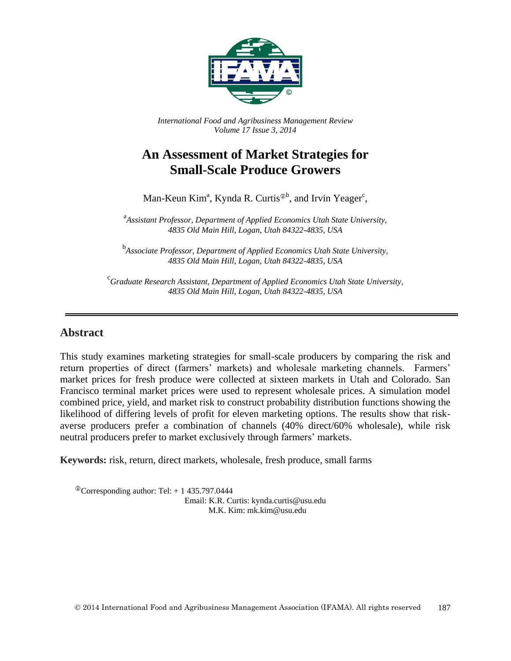

*International Food and Agribusiness Management Review Volume 17 Issue 3, 2014*

# **An Assessment of Market Strategies for Small-Scale Produce Growers**

Man-Keun Kim<sup>a</sup>, Kynda R. Curtis<sup> $\Phi$ b</sup>, and Irvin Yeager<sup>c</sup>,

a *Assistant Professor, Department of Applied Economics Utah State University, 4835 Old Main Hill, Logan, Utah 84322-4835, USA*

b *Associate Professor, Department of Applied Economics Utah State University, 4835 Old Main Hill, Logan, Utah 84322-4835, USA*

c *Graduate Research Assistant, Department of Applied Economics Utah State University, 4835 Old Main Hill, Logan, Utah 84322-4835, USA*

#### **Abstract**

This study examines marketing strategies for small-scale producers by comparing the risk and return properties of direct (farmers' markets) and wholesale marketing channels. Farmers' market prices for fresh produce were collected at sixteen markets in Utah and Colorado. San Francisco terminal market prices were used to represent wholesale prices. A simulation model combined price, yield, and market risk to construct probability distribution functions showing the likelihood of differing levels of profit for eleven marketing options. The results show that riskaverse producers prefer a combination of channels (40% direct/60% wholesale), while risk neutral producers prefer to market exclusively through farmers' markets.

**Keywords:** risk, return, direct markets, wholesale, fresh produce, small farms

 $\textcirc{}$ Corresponding author: Tel: + 1 435.797.0444 Email: K.R. Curtis: kynda.curtis@usu.edu M.K. Kim: mk.kim@usu.edu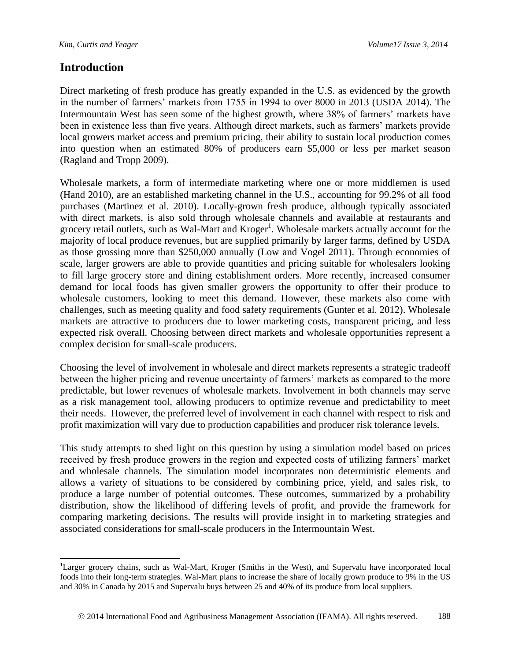#### **Introduction**

Direct marketing of fresh produce has greatly expanded in the U.S. as evidenced by the growth in the number of farmers' markets from 1755 in 1994 to over 8000 in 2013 (USDA 2014). The Intermountain West has seen some of the highest growth, where 38% of farmers' markets have been in existence less than five years. Although direct markets, such as farmers' markets provide local growers market access and premium pricing, their ability to sustain local production comes into question when an estimated 80% of producers earn \$5,000 or less per market season (Ragland and Tropp 2009).

Wholesale markets, a form of intermediate marketing where one or more middlemen is used (Hand 2010), are an established marketing channel in the U.S., accounting for 99.2% of all food purchases (Martinez et al. 2010). Locally-grown fresh produce, although typically associated with direct markets, is also sold through wholesale channels and available at restaurants and grocery retail outlets, such as Wal-Mart and Kroger<sup>1</sup>. Wholesale markets actually account for the majority of local produce revenues, but are supplied primarily by larger farms, defined by USDA as those grossing more than \$250,000 annually (Low and Vogel 2011). Through economies of scale, larger growers are able to provide quantities and pricing suitable for wholesalers looking to fill large grocery store and dining establishment orders. More recently, increased consumer demand for local foods has given smaller growers the opportunity to offer their produce to wholesale customers, looking to meet this demand. However, these markets also come with challenges, such as meeting quality and food safety requirements (Gunter et al. 2012). Wholesale markets are attractive to producers due to lower marketing costs, transparent pricing, and less expected risk overall. Choosing between direct markets and wholesale opportunities represent a complex decision for small-scale producers.

Choosing the level of involvement in wholesale and direct markets represents a strategic tradeoff between the higher pricing and revenue uncertainty of farmers' markets as compared to the more predictable, but lower revenues of wholesale markets. Involvement in both channels may serve as a risk management tool, allowing producers to optimize revenue and predictability to meet their needs. However, the preferred level of involvement in each channel with respect to risk and profit maximization will vary due to production capabilities and producer risk tolerance levels.

This study attempts to shed light on this question by using a simulation model based on prices received by fresh produce growers in the region and expected costs of utilizing farmers' market and wholesale channels. The simulation model incorporates non deterministic elements and allows a variety of situations to be considered by combining price, yield, and sales risk, to produce a large number of potential outcomes. These outcomes, summarized by a probability distribution, show the likelihood of differing levels of profit, and provide the framework for comparing marketing decisions. The results will provide insight in to marketing strategies and associated considerations for small-scale producers in the Intermountain West.

 $\overline{a}$ <sup>1</sup>Larger grocery chains, such as Wal-Mart, Kroger (Smiths in the West), and Supervalu have incorporated local foods into their long-term strategies. Wal-Mart plans to increase the share of locally grown produce to 9% in the US and 30% in Canada by 2015 and Supervalu buys between 25 and 40% of its produce from local suppliers.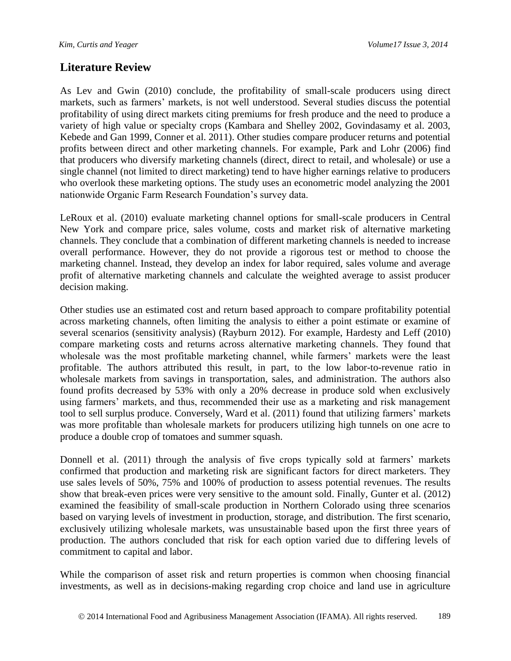### **Literature Review**

As Lev and Gwin (2010) conclude, the profitability of small-scale producers using direct markets, such as farmers' markets, is not well understood. Several studies discuss the potential profitability of using direct markets citing premiums for fresh produce and the need to produce a variety of high value or specialty crops (Kambara and Shelley 2002, Govindasamy et al. 2003, Kebede and Gan 1999, Conner et al. 2011). Other studies compare producer returns and potential profits between direct and other marketing channels. For example, Park and Lohr (2006) find that producers who diversify marketing channels (direct, direct to retail, and wholesale) or use a single channel (not limited to direct marketing) tend to have higher earnings relative to producers who overlook these marketing options. The study uses an econometric model analyzing the 2001 nationwide Organic Farm Research Foundation's survey data.

LeRoux et al. (2010) evaluate marketing channel options for small-scale producers in Central New York and compare price, sales volume, costs and market risk of alternative marketing channels. They conclude that a combination of different marketing channels is needed to increase overall performance. However, they do not provide a rigorous test or method to choose the marketing channel. Instead, they develop an index for labor required, sales volume and average profit of alternative marketing channels and calculate the weighted average to assist producer decision making.

Other studies use an estimated cost and return based approach to compare profitability potential across marketing channels, often limiting the analysis to either a point estimate or examine of several scenarios (sensitivity analysis) (Rayburn 2012). For example, Hardesty and Leff (2010) compare marketing costs and returns across alternative marketing channels. They found that wholesale was the most profitable marketing channel, while farmers' markets were the least profitable. The authors attributed this result, in part, to the low labor-to-revenue ratio in wholesale markets from savings in transportation, sales, and administration. The authors also found profits decreased by 53% with only a 20% decrease in produce sold when exclusively using farmers' markets, and thus, recommended their use as a marketing and risk management tool to sell surplus produce. Conversely, Ward et al. (2011) found that utilizing farmers' markets was more profitable than wholesale markets for producers utilizing high tunnels on one acre to produce a double crop of tomatoes and summer squash.

Donnell et al. (2011) through the analysis of five crops typically sold at farmers' markets confirmed that production and marketing risk are significant factors for direct marketers. They use sales levels of 50%, 75% and 100% of production to assess potential revenues. The results show that break-even prices were very sensitive to the amount sold. Finally, Gunter et al. (2012) examined the feasibility of small-scale production in Northern Colorado using three scenarios based on varying levels of investment in production, storage, and distribution. The first scenario, exclusively utilizing wholesale markets, was unsustainable based upon the first three years of production. The authors concluded that risk for each option varied due to differing levels of commitment to capital and labor.

While the comparison of asset risk and return properties is common when choosing financial investments, as well as in decisions-making regarding crop choice and land use in agriculture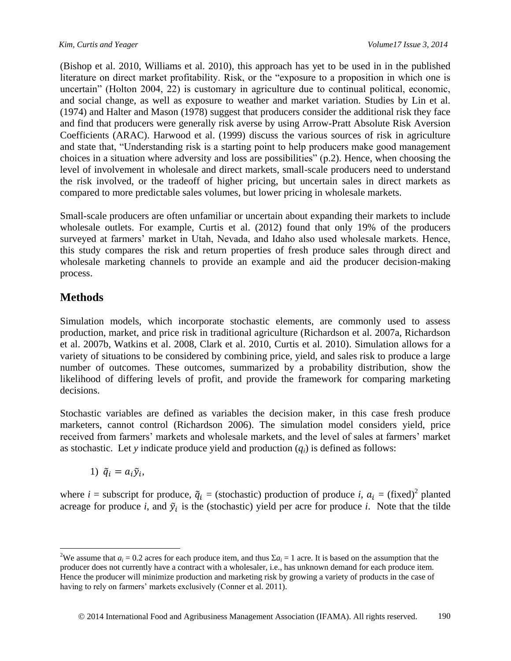(Bishop et al. 2010, Williams et al. 2010), this approach has yet to be used in in the published literature on direct market profitability. Risk, or the "exposure to a proposition in which one is uncertain" (Holton 2004, 22) is customary in agriculture due to continual political, economic, and social change, as well as exposure to weather and market variation. Studies by Lin et al. (1974) and Halter and Mason (1978) suggest that producers consider the additional risk they face and find that producers were generally risk averse by using Arrow-Pratt Absolute Risk Aversion Coefficients (ARAC). Harwood et al. (1999) discuss the various sources of risk in agriculture and state that, "Understanding risk is a starting point to help producers make good management choices in a situation where adversity and loss are possibilities" (p.2). Hence, when choosing the level of involvement in wholesale and direct markets, small-scale producers need to understand the risk involved, or the tradeoff of higher pricing, but uncertain sales in direct markets as compared to more predictable sales volumes, but lower pricing in wholesale markets.

Small-scale producers are often unfamiliar or uncertain about expanding their markets to include wholesale outlets. For example, Curtis et al. (2012) found that only 19% of the producers surveyed at farmers' market in Utah, Nevada, and Idaho also used wholesale markets. Hence, this study compares the risk and return properties of fresh produce sales through direct and wholesale marketing channels to provide an example and aid the producer decision-making process.

# **Methods**

 $\overline{a}$ 

Simulation models, which incorporate stochastic elements, are commonly used to assess production, market, and price risk in traditional agriculture (Richardson et al. 2007a, Richardson et al. 2007b, Watkins et al. 2008, Clark et al. 2010, Curtis et al. 2010). Simulation allows for a variety of situations to be considered by combining price, yield, and sales risk to produce a large number of outcomes. These outcomes, summarized by a probability distribution, show the likelihood of differing levels of profit, and provide the framework for comparing marketing decisions.

Stochastic variables are defined as variables the decision maker, in this case fresh produce marketers, cannot control (Richardson 2006). The simulation model considers yield, price received from farmers' markets and wholesale markets, and the level of sales at farmers' market as stochastic. Let *y* indicate produce yield and production (*qi*) is defined as follows:

1)  $\tilde{q}_i = a_i \tilde{y}_i$ ,

where *i* = subscript for produce,  $\tilde{q}_i$  = (stochastic) production of produce *i*,  $a_i$  = (fixed)<sup>2</sup> planted acreage for produce *i*, and  $\tilde{y}_i$  is the (stochastic) yield per acre for produce *i*. Note that the tilde

<sup>&</sup>lt;sup>2</sup>We assume that  $a_i = 0.2$  acres for each produce item, and thus  $\sum a_i = 1$  acre. It is based on the assumption that the producer does not currently have a contract with a wholesaler, i.e., has unknown demand for each produce item. Hence the producer will minimize production and marketing risk by growing a variety of products in the case of having to rely on farmers' markets exclusively (Conner et al. 2011).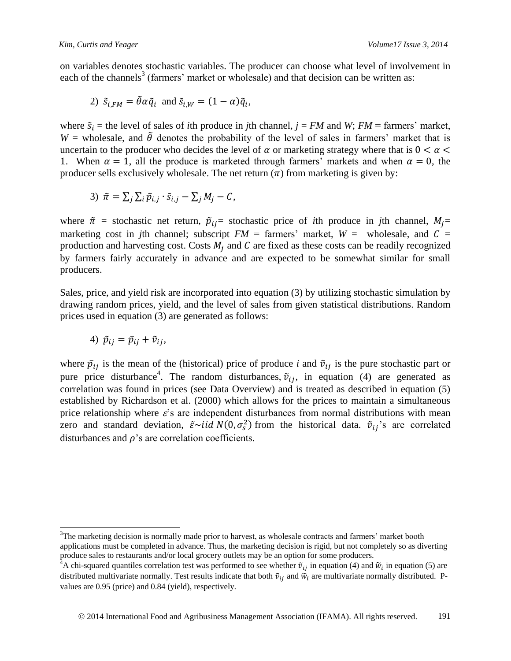on variables denotes stochastic variables. The producer can choose what level of involvement in each of the channels<sup>3</sup> (farmers' market or wholesale) and that decision can be written as:

2) 
$$
\tilde{s}_{i,FM} = \tilde{\theta} \alpha \tilde{q}_i
$$
 and  $\tilde{s}_{i,W} = (1 - \alpha) \tilde{q}_i$ ,

where  $\tilde{s}_i$  = the level of sales of *i*th produce in *j*th channel,  $j = FM$  and *W*;  $FM =$  farmers' market,  $W =$  wholesale, and  $\tilde{\theta}$  denotes the probability of the level of sales in farmers' market that is uncertain to the producer who decides the level of  $\alpha$  or marketing strategy where that is  $0 < \alpha <$ 1. When  $\alpha = 1$ , all the produce is marketed through farmers' markets and when  $\alpha = 0$ , the producer sells exclusively wholesale. The net return  $(\pi)$  from marketing is given by:

3) 
$$
\tilde{\pi} = \sum_j \sum_i \tilde{p}_{i,j} \cdot \tilde{s}_{i,j} - \sum_j M_j - C,
$$

where  $\tilde{\pi}$  = stochastic net return,  $\tilde{p}_{ij}$  = stochastic price of *i*th produce in *j*th channel,  $M_i$  = marketing cost in *j*th channel; subscript  $FM = \text{ farmers'}$  market,  $W = \text{whole sale, and } C =$ production and harvesting cost. Costs  $M_i$  and C are fixed as these costs can be readily recognized by farmers fairly accurately in advance and are expected to be somewhat similar for small producers.

Sales, price, and yield risk are incorporated into equation (3) by utilizing stochastic simulation by drawing random prices, yield, and the level of sales from given statistical distributions. Random prices used in equation (3) are generated as follows:

4) 
$$
\tilde{p}_{ij} = \bar{p}_{ij} + \tilde{v}_{ij}
$$
,

 $\overline{a}$ 

where  $\bar{p}_{ij}$  is the mean of the (historical) price of produce *i* and  $\tilde{v}_{ij}$  is the pure stochastic part or pure price disturbance<sup>4</sup>. The random disturbances,  $\tilde{v}_{ij}$ , in equation (4) are generated as correlation was found in prices (see Data Overview) and is treated as described in equation (5) established by Richardson et al. (2000) which allows for the prices to maintain a simultaneous price relationship where  $\varepsilon$ 's are independent disturbances from normal distributions with mean zero and standard deviation,  $\tilde{\varepsilon}$  id  $N(0, \sigma_s^2)$  from the historical data.  $\tilde{v}_{ij}$ 's are correlated disturbances and  $\rho$ 's are correlation coefficients.

 $3$ The marketing decision is normally made prior to harvest, as wholesale contracts and farmers' market booth applications must be completed in advance. Thus, the marketing decision is rigid, but not completely so as diverting produce sales to restaurants and/or local grocery outlets may be an option for some producers.

<sup>&</sup>lt;sup>4</sup>A chi-squared quantiles correlation test was performed to see whether  $\tilde{v}_{ij}$  in equation (4) and  $\tilde{w}_i$  in equation (5) are distributed multivariate normally. Test results indicate that both  $\tilde{v}_{ij}$  and  $\tilde{w}_i$  are multivariate normally distributed. Pvalues are 0.95 (price) and 0.84 (yield), respectively.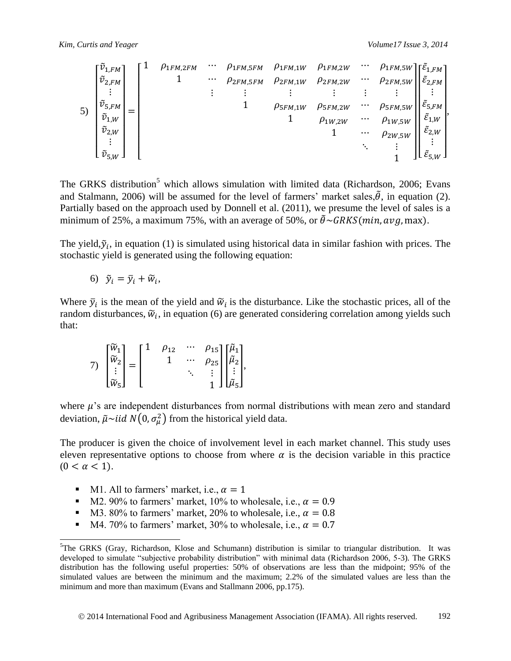$$
\begin{bmatrix}\n\tilde{v}_{1,FM} \\
\tilde{v}_{2,FM} \\
\vdots \\
\tilde{v}_{5,FM} \\
\tilde{v}_{2,W} \\
\vdots \\
\tilde{v}_{5,W}\n\end{bmatrix} = \begin{bmatrix}\n1 & \rho_{1FM,2FM} & \cdots & \rho_{1FM,5FM} & \rho_{1FM,1W} & \rho_{1FM,2W} & \cdots & \rho_{1FM,5W} \\
1 & \cdots & \rho_{2FM,5FM} & \rho_{2FM,1W} & \rho_{2FM,2W} & \cdots & \rho_{2FM,5W} \\
\vdots & \vdots & \vdots & \vdots & \vdots & \vdots \\
\tilde{v}_{5,FM} \\
\tilde{v}_{2,W} \\
\vdots \\
\tilde{v}_{5,W}\n\end{bmatrix} = \begin{bmatrix}\n1 & \rho_{1FM,2FM} & \cdots & \rho_{1FM,2W} & \rho_{1FM,2W} & \cdots & \rho_{1FM,5W} \\
1 & \cdots & \rho_{2FM,2W} & \cdots & \rho_{2FM,5W} \\
1 & \rho_{2W,2W} & \cdots & \rho_{2W,5W} \\
\vdots & \vdots & \ddots & \vdots \\
\tilde{v}_{5,W} \\
\vdots \\
\tilde{e}_{5,W}\n\end{bmatrix}
$$

The GRKS distribution<sup>5</sup> which allows simulation with limited data (Richardson, 2006; Evans and Stalmann, 2006) will be assumed for the level of farmers' market sales,  $\tilde{\theta}$ , in equation (2). Partially based on the approach used by Donnell et al. (2011), we presume the level of sales is a minimum of 25%, a maximum 75%, with an average of 50%, or  $\tilde{\theta} \sim GRKS(min, avg, max)$ .

The yield,  $\tilde{y}_i$ , in equation (1) is simulated using historical data in similar fashion with prices. The stochastic yield is generated using the following equation:

$$
6) \quad \tilde{y}_i = \bar{y}_i + \widetilde{w}_i,
$$

Where  $\bar{y}_i$  is the mean of the yield and  $\tilde{w}_i$  is the disturbance. Like the stochastic prices, all of the random disturbances,  $\widetilde{w}_i$ , in equation (6) are generated considering correlation among yields such that:

$$
7) \begin{bmatrix} \widetilde{w}_1 \\ \widetilde{w}_2 \\ \vdots \\ \widetilde{w}_5 \end{bmatrix} = \begin{bmatrix} 1 & \rho_{12} & \cdots & \rho_{15} \\ & 1 & \cdots & \rho_{25} \\ & & \ddots & \vdots \\ & & & 1 \end{bmatrix} \begin{bmatrix} \widetilde{\mu}_1 \\ \widetilde{\mu}_2 \\ \vdots \\ \widetilde{\mu}_5 \end{bmatrix},
$$

where  $\mu$ 's are independent disturbances from normal distributions with mean zero and standard deviation,  $\tilde{\mu} \sim i i d \; N(0, \sigma_u^2)$  from the historical yield data.

The producer is given the choice of involvement level in each market channel. This study uses eleven representative options to choose from where  $\alpha$  is the decision variable in this practice  $(0 < \alpha < 1).$ 

M1. All to farmers' market, i.e.,  $\alpha = 1$ 

 $\overline{a}$ 

- M2. 90% to farmers' market, 10% to wholesale, i.e.,  $\alpha = 0.9$
- M3. 80% to farmers' market, 20% to wholesale, i.e.,  $\alpha = 0.8$
- $\blacksquare$  M4. 70% to farmers' market, 30% to wholesale, i.e.,  $\alpha = 0.7$

<sup>&</sup>lt;sup>5</sup>The GRKS (Gray, Richardson, Klose and Schumann) distribution is similar to triangular distribution. It was developed to simulate "subjective probability distribution" with minimal data (Richardson 2006, 5-3). The GRKS distribution has the following useful properties: 50% of observations are less than the midpoint; 95% of the simulated values are between the minimum and the maximum; 2.2% of the simulated values are less than the minimum and more than maximum (Evans and Stallmann 2006, pp.175).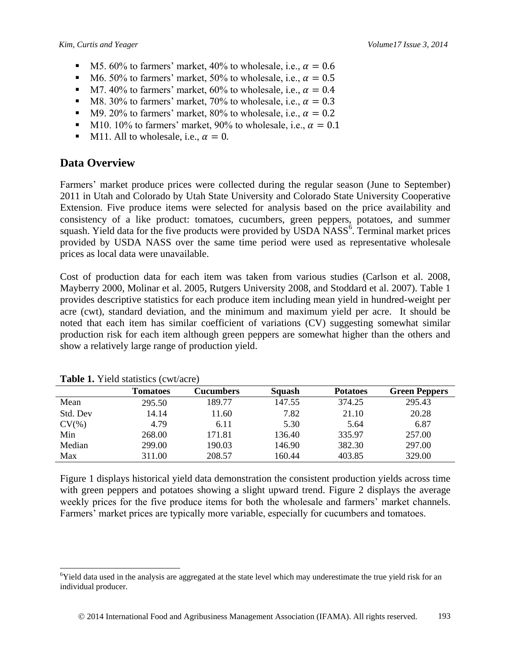- $\blacksquare$  M5. 60% to farmers' market, 40% to wholesale, i.e.,  $\alpha = 0.6$
- M6. 50% to farmers' market, 50% to wholesale, i.e.,  $\alpha = 0.5$
- M7. 40% to farmers' market, 60% to wholesale, i.e.,  $\alpha = 0.4$
- M8. 30% to farmers' market, 70% to wholesale, i.e.,  $\alpha = 0.3$
- M9. 20% to farmers' market, 80% to wholesale, i.e.,  $\alpha = 0.2$
- M10. 10% to farmers' market, 90% to wholesale, i.e.,  $\alpha = 0.1$
- $\blacksquare$  M11. All to wholesale, i.e.,  $\alpha = 0$ .

#### **Data Overview**

Farmers' market produce prices were collected during the regular season (June to September) 2011 in Utah and Colorado by Utah State University and Colorado State University Cooperative Extension. Five produce items were selected for analysis based on the price availability and consistency of a like product: tomatoes, cucumbers, green peppers, potatoes, and summer squash. Yield data for the five products were provided by USDA NASS<sup>6</sup>. Terminal market prices provided by USDA NASS over the same time period were used as representative wholesale prices as local data were unavailable.

Cost of production data for each item was taken from various studies (Carlson et al. 2008, Mayberry 2000, Molinar et al. 2005, Rutgers University 2008, and Stoddard et al. 2007). Table 1 provides descriptive statistics for each produce item including mean yield in hundred-weight per acre (cwt), standard deviation, and the minimum and maximum yield per acre. It should be noted that each item has similar coefficient of variations (CV) suggesting somewhat similar production risk for each item although green peppers are somewhat higher than the others and show a relatively large range of production yield.

|          | Tomatoes | <b>Cucumbers</b> | Squash | <b>Potatoes</b> | <b>Green Peppers</b> |  |  |
|----------|----------|------------------|--------|-----------------|----------------------|--|--|
| Mean     | 295.50   | 189.77           | 147.55 | 374.25          | 295.43               |  |  |
| Std. Dev | 14.14    | 11.60            | 7.82   | 21.10           | 20.28                |  |  |
| $CV(\%)$ | 4.79     | 6.11             | 5.30   | 5.64            | 6.87                 |  |  |
| Min      | 268.00   | 171.81           | 136.40 | 335.97          | 257.00               |  |  |
| Median   | 299.00   | 190.03           | 146.90 | 382.30          | 297.00               |  |  |
| Max      | 311.00   | 208.57           | 160.44 | 403.85          | 329.00               |  |  |

**Table 1.** Yield statistics (cwt/acre)

 $\overline{a}$ 

Figure 1 displays historical yield data demonstration the consistent production yields across time with green peppers and potatoes showing a slight upward trend. Figure 2 displays the average weekly prices for the five produce items for both the wholesale and farmers' market channels. Farmers' market prices are typically more variable, especially for cucumbers and tomatoes.

 $6$ Yield data used in the analysis are aggregated at the state level which may underestimate the true yield risk for an individual producer.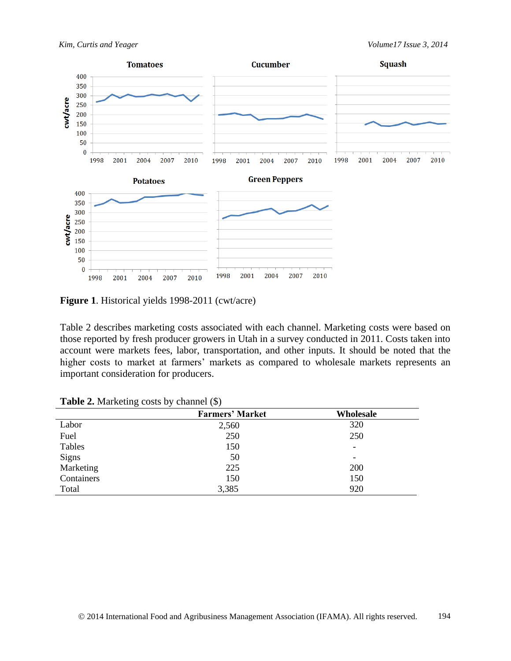



**Figure 1**. Historical yields 1998-2011 (cwt/acre)

Table 2 describes marketing costs associated with each channel. Marketing costs were based on those reported by fresh producer growers in Utah in a survey conducted in 2011. Costs taken into account were markets fees, labor, transportation, and other inputs. It should be noted that the higher costs to market at farmers' markets as compared to wholesale markets represents an important consideration for producers.

|              | <b>Farmers' Market</b> | Wholesale |
|--------------|------------------------|-----------|
| Labor        | 2,560                  | 320       |
| Fuel         | 250                    | 250       |
| Tables       | 150                    |           |
| <b>Signs</b> | 50                     |           |
| Marketing    | 225                    | 200       |
| Containers   | 150                    | 150       |
| Total        | 3,385                  | 920       |

**Table 2.** Marketing costs by channel (\$)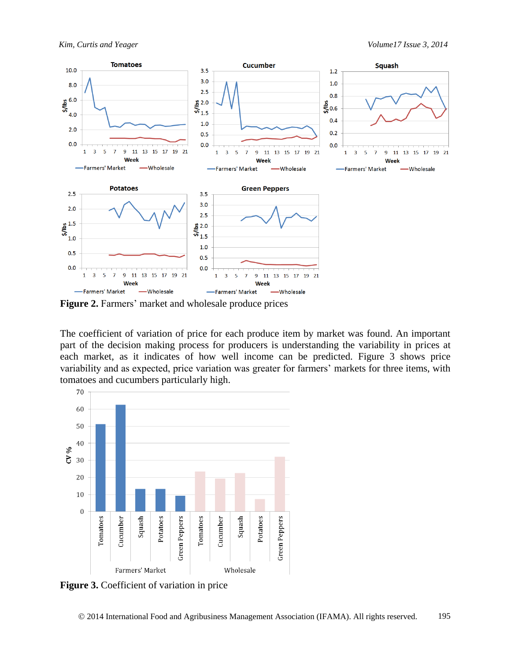

**Figure 2.** Farmers' market and wholesale produce prices

The coefficient of variation of price for each produce item by market was found. An important part of the decision making process for producers is understanding the variability in prices at each market, as it indicates of how well income can be predicted. Figure 3 shows price variability and as expected, price variation was greater for farmers' markets for three items, with tomatoes and cucumbers particularly high.



**Figure 3.** Coefficient of variation in price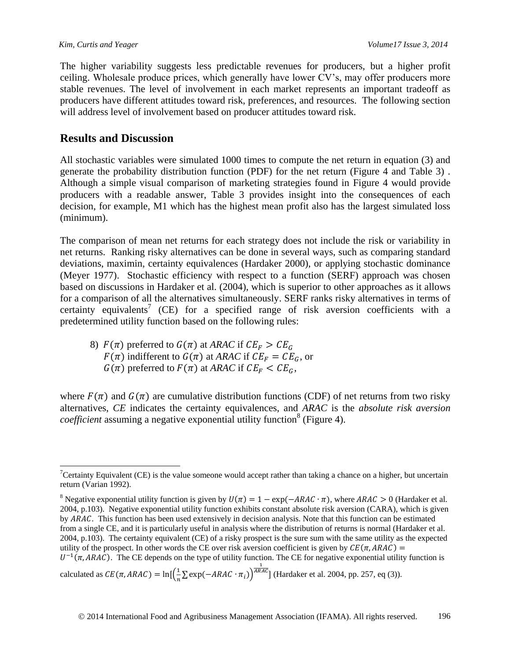The higher variability suggests less predictable revenues for producers, but a higher profit ceiling. Wholesale produce prices, which generally have lower CV's, may offer producers more stable revenues. The level of involvement in each market represents an important tradeoff as producers have different attitudes toward risk, preferences, and resources. The following section will address level of involvement based on producer attitudes toward risk.

### **Results and Discussion**

All stochastic variables were simulated 1000 times to compute the net return in equation (3) and generate the probability distribution function (PDF) for the net return (Figure 4 and Table 3) . Although a simple visual comparison of marketing strategies found in Figure 4 would provide producers with a readable answer, Table 3 provides insight into the consequences of each decision, for example, M1 which has the highest mean profit also has the largest simulated loss (minimum).

The comparison of mean net returns for each strategy does not include the risk or variability in net returns. Ranking risky alternatives can be done in several ways, such as comparing standard deviations, maximin, certainty equivalences (Hardaker 2000), or applying stochastic dominance (Meyer 1977). Stochastic efficiency with respect to a function (SERF) approach was chosen based on discussions in Hardaker et al. (2004), which is superior to other approaches as it allows for a comparison of all the alternatives simultaneously. SERF ranks risky alternatives in terms of certainty equivalents<sup>7</sup> (CE) for a specified range of risk aversion coefficients with a predetermined utility function based on the following rules:

8)  $F(\pi)$  preferred to  $G(\pi)$  at *ARAC* if  $CE_F > CE_G$ .  $F(\pi)$  indifferent to  $G(\pi)$  at *ARAC* if  $CE_F = CE_G$ , or  $G(\pi)$  preferred to  $F(\pi)$  at *ARAC* if  $CE_F < CE_G$ ,

where  $F(\pi)$  and  $G(\pi)$  are cumulative distribution functions (CDF) of net returns from two risky alternatives, *CE* indicates the certainty equivalences, and *ARAC* is the *absolute risk aversion coefficient* assuming a negative exponential utility function<sup>8</sup> (Figure 4).

calculated as  $CE(\pi, ARAC) = \ln\left[\frac{1}{n}\right]$  $\frac{1}{n}\sum \exp(-ARAC \cdot \pi_i)$  $\frac{1}{ARAC}$  (Hardaker et al. 2004, pp. 257, eq (3)).

 $\overline{a}$ <sup>7</sup>Certainty Equivalent (CE) is the value someone would accept rather than taking a chance on a higher, but uncertain return (Varian 1992).

<sup>&</sup>lt;sup>8</sup> Negative exponential utility function is given by  $U(\pi) = 1 - \exp(-ARAC \cdot \pi)$ , where  $ARAC > 0$  (Hardaker et al. 2004, p.103). Negative exponential utility function exhibits constant absolute risk aversion (CARA), which is given by ARAC. This function has been used extensively in decision analysis. Note that this function can be estimated from a single CE, and it is particularly useful in analysis where the distribution of returns is normal (Hardaker et al. 2004, p.103). The certainty equivalent (CE) of a risky prospect is the sure sum with the same utility as the expected utility of the prospect. In other words the CE over risk aversion coefficient is given by  $CE(\pi, ARAC)$  =  $U^{-1}(\pi, ARAC)$ . The CE depends on the type of utility function. The CE for negative exponential utility function is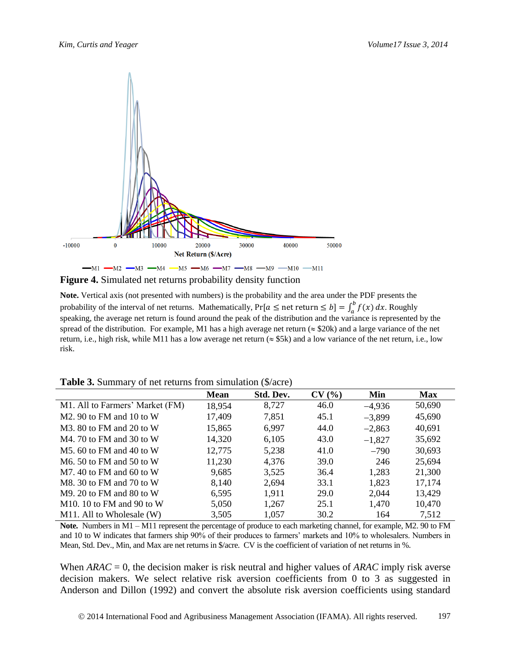

**Figure 4.** Simulated net returns probability density function

**Note.** Vertical axis (not presented with numbers) is the probability and the area under the PDF presents the probability of the interval of net returns. Mathematically,  $Pr[a \leq net$  return  $\leq b] = \int_{a}^{b} f(x)$  $\int_a^b f(x) dx$ . Roughly speaking, the average net return is found around the peak of the distribution and the variance is represented by the spread of the distribution. For example, M1 has a high average net return ( $\approx$  \$20k) and a large variance of the net return, i.e., high risk, while M11 has a low average net return ( $\approx$  \$5k) and a low variance of the net return, i.e., low risk.

|  | <b>Table 3.</b> Summary of net returns from simulation (\$/acre) |  |  |  |
|--|------------------------------------------------------------------|--|--|--|
|--|------------------------------------------------------------------|--|--|--|

|                                         | <b>Mean</b> | Std. Dev. | CV(%) | Min      | <b>Max</b> |
|-----------------------------------------|-------------|-----------|-------|----------|------------|
| M1. All to Farmers' Market (FM)         | 18,954      | 8,727     | 46.0  | $-4,936$ | 50,690     |
| $M2.90$ to FM and 10 to W               | 17,409      | 7,851     | 45.1  | $-3,899$ | 45,690     |
| $M3.80$ to FM and 20 to W               | 15,865      | 6,997     | 44.0  | $-2,863$ | 40,691     |
| $M4$ , 70 to FM and 30 to W             | 14,320      | 6,105     | 43.0  | $-1,827$ | 35,692     |
| $M5$ , 60 to FM and 40 to W             | 12,775      | 5,238     | 41.0  | $-790$   | 30,693     |
| M <sub>6</sub> $50$ to FM and $50$ to W | 11,230      | 4,376     | 39.0  | 246      | 25,694     |
| $M7.40$ to FM and 60 to W               | 9,685       | 3,525     | 36.4  | 1,283    | 21,300     |
| M8. 30 to FM and 70 to W                | 8,140       | 2,694     | 33.1  | 1,823    | 17,174     |
| $M9.20$ to FM and 80 to W               | 6,595       | 1,911     | 29.0  | 2,044    | 13,429     |
| M10. 10 to FM and 90 to W               | 5,050       | 1,267     | 25.1  | 1,470    | 10,470     |
| M11. All to Wholesale (W)               | 3,505       | 1,057     | 30.2  | 164      | 7,512      |

**Note.** Numbers in M1 – M11 represent the percentage of produce to each marketing channel, for example, M2. 90 to FM and 10 to W indicates that farmers ship 90% of their produces to farmers' markets and 10% to wholesalers. Numbers in Mean, Std. Dev., Min, and Max are net returns in \$/acre. CV is the coefficient of variation of net returns in %.

When *ARAC* = 0, the decision maker is risk neutral and higher values of *ARAC* imply risk averse decision makers. We select relative risk aversion coefficients from 0 to 3 as suggested in Anderson and Dillon (1992) and convert the absolute risk aversion coefficients using standard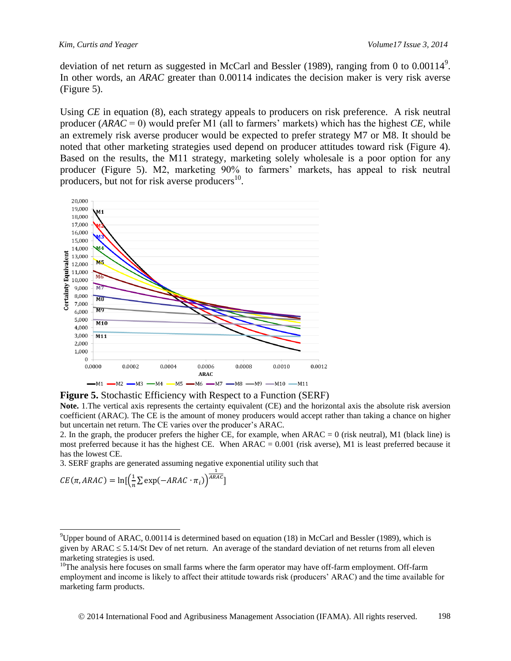deviation of net return as suggested in McCarl and Bessler (1989), ranging from 0 to  $0.00114^9$ . In other words, an *ARAC* greater than 0.00114 indicates the decision maker is very risk averse (Figure 5).

Using *CE* in equation (8), each strategy appeals to producers on risk preference. A risk neutral producer (*ARAC* = 0) would prefer M1 (all to farmers' markets) which has the highest *CE*, while an extremely risk averse producer would be expected to prefer strategy M7 or M8. It should be noted that other marketing strategies used depend on producer attitudes toward risk (Figure 4). Based on the results, the M11 strategy, marketing solely wholesale is a poor option for any producer (Figure 5). M2, marketing 90% to farmers' markets, has appeal to risk neutral producers, but not for risk averse producers $^{10}$ .



**Figure 5.** Stochastic Efficiency with Respect to a Function (SERF)

**Note.** 1.The vertical axis represents the certainty equivalent (CE) and the horizontal axis the absolute risk aversion coefficient (ARAC). The CE is the amount of money producers would accept rather than taking a chance on higher but uncertain net return. The CE varies over the producer's ARAC.

2. In the graph, the producer prefers the higher CE, for example, when ARAC = 0 (risk neutral), M1 (black line) is most preferred because it has the highest CE. When  $ARAC = 0.001$  (risk averse), M1 is least preferred because it has the lowest CE.

3. SERF graphs are generated assuming negative exponential utility such that

$$
CE(\pi, ARAC) = \ln\left(\frac{1}{n}\sum \exp(-ARAC \cdot \pi_i)\right)^{\frac{1}{ARAC}}
$$

 $\overline{a}$ 

<sup>&</sup>lt;sup>9</sup>Upper bound of ARAC, 0.00114 is determined based on equation (18) in McCarl and Bessler (1989), which is given by ARAC  $\leq$  5.14/St Dev of net return. An average of the standard deviation of net returns from all eleven marketing strategies is used.

 $10$ The analysis here focuses on small farms where the farm operator may have off-farm employment. Off-farm employment and income is likely to affect their attitude towards risk (producers' ARAC) and the time available for marketing farm products.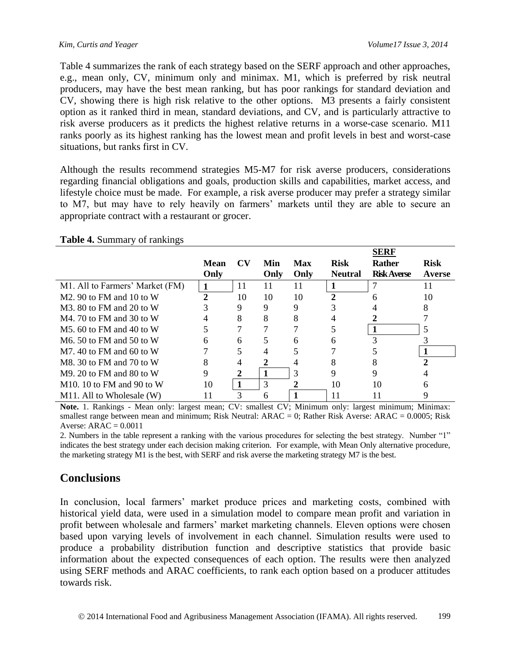Table 4 summarizes the rank of each strategy based on the SERF approach and other approaches, e.g., mean only, CV, minimum only and minimax. M1, which is preferred by risk neutral producers, may have the best mean ranking, but has poor rankings for standard deviation and CV, showing there is high risk relative to the other options. M3 presents a fairly consistent option as it ranked third in mean, standard deviations, and CV, and is particularly attractive to risk averse producers as it predicts the highest relative returns in a worse-case scenario. M11 ranks poorly as its highest ranking has the lowest mean and profit levels in best and worst-case situations, but ranks first in CV.

Although the results recommend strategies M5-M7 for risk averse producers, considerations regarding financial obligations and goals, production skills and capabilities, market access, and lifestyle choice must be made. For example, a risk averse producer may prefer a strategy similar to M7, but may have to rely heavily on farmers' markets until they are able to secure an appropriate contract with a restaurant or grocer.

|                                      |              |           |      |            |                | <b>SERF</b>        |             |
|--------------------------------------|--------------|-----------|------|------------|----------------|--------------------|-------------|
|                                      | <b>Mean</b>  | <b>CV</b> | Min  | <b>Max</b> | <b>Risk</b>    | <b>Rather</b>      | <b>Risk</b> |
|                                      | Only         |           | Only | Only       | <b>Neutral</b> | <b>Risk Averse</b> | Averse      |
| M1. All to Farmers' Market (FM)      | 1            | 11        | 11   | 11         | 1              |                    | 11          |
| $M2.90$ to FM and 10 to W            | $\mathbf{2}$ | 10        | 10   | 10         |                | h                  | 10          |
| $M3.80$ to FM and 20 to W            |              |           | 9    | 9          |                |                    |             |
| $M4$ , 70 to FM and 30 to W          |              | 8         | 8    |            |                |                    |             |
| $M5.60$ to FM and 40 to W            |              |           |      |            |                |                    |             |
| M <sub>6</sub> .50 to FM and 50 to W | 6            | 6         |      | 6          | 6              |                    |             |
| $M7.40$ to FM and 60 to W            |              |           |      |            |                |                    |             |
| M8. 30 to FM and 70 to W             | 8            |           |      |            |                |                    |             |
| $M9. 20$ to FM and 80 to W           | 9            |           |      | 3          | 9              | 9                  |             |
| $M10.10$ to FM and 90 to W           | 10           |           | 3    |            | 10             | 10                 |             |
| M11. All to Wholesale (W)            |              |           | n    |            | 11             |                    |             |

#### **Table 4.** Summary of rankings

**Note.** 1. Rankings - Mean only: largest mean; CV: smallest CV; Minimum only: largest minimum; Minimax: smallest range between mean and minimum; Risk Neutral: ARAC = 0; Rather Risk Averse: ARAC = 0.0005; Risk Averse:  $ARAC = 0.0011$ 

2. Numbers in the table represent a ranking with the various procedures for selecting the best strategy. Number "1" indicates the best strategy under each decision making criterion. For example, with Mean Only alternative procedure, the marketing strategy M1 is the best, with SERF and risk averse the marketing strategy M7 is the best.

## **Conclusions**

In conclusion, local farmers' market produce prices and marketing costs, combined with historical yield data, were used in a simulation model to compare mean profit and variation in profit between wholesale and farmers' market marketing channels. Eleven options were chosen based upon varying levels of involvement in each channel. Simulation results were used to produce a probability distribution function and descriptive statistics that provide basic information about the expected consequences of each option. The results were then analyzed using SERF methods and ARAC coefficients, to rank each option based on a producer attitudes towards risk.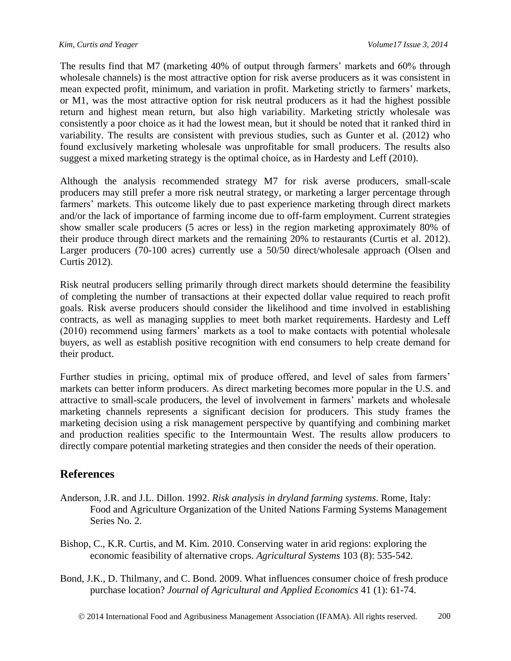The results find that M7 (marketing 40% of output through farmers' markets and 60% through wholesale channels) is the most attractive option for risk averse producers as it was consistent in mean expected profit, minimum, and variation in profit. Marketing strictly to farmers' markets, or M1, was the most attractive option for risk neutral producers as it had the highest possible return and highest mean return, but also high variability. Marketing strictly wholesale was consistently a poor choice as it had the lowest mean, but it should be noted that it ranked third in variability. The results are consistent with previous studies, such as Gunter et al. (2012) who found exclusively marketing wholesale was unprofitable for small producers. The results also suggest a mixed marketing strategy is the optimal choice, as in Hardesty and Leff (2010).

Although the analysis recommended strategy M7 for risk averse producers, small-scale producers may still prefer a more risk neutral strategy, or marketing a larger percentage through farmers' markets. This outcome likely due to past experience marketing through direct markets and/or the lack of importance of farming income due to off-farm employment. Current strategies show smaller scale producers (5 acres or less) in the region marketing approximately 80% of their produce through direct markets and the remaining 20% to restaurants (Curtis et al. 2012). Larger producers (70-100 acres) currently use a 50/50 direct/wholesale approach (Olsen and Curtis 2012).

Risk neutral producers selling primarily through direct markets should determine the feasibility of completing the number of transactions at their expected dollar value required to reach profit goals. Risk averse producers should consider the likelihood and time involved in establishing contracts, as well as managing supplies to meet both market requirements. Hardesty and Leff (2010) recommend using farmers' markets as a tool to make contacts with potential wholesale buyers, as well as establish positive recognition with end consumers to help create demand for their product.

Further studies in pricing, optimal mix of produce offered, and level of sales from farmers' markets can better inform producers. As direct marketing becomes more popular in the U.S. and attractive to small-scale producers, the level of involvement in farmers' markets and wholesale marketing channels represents a significant decision for producers. This study frames the marketing decision using a risk management perspective by quantifying and combining market and production realities specific to the Intermountain West. The results allow producers to directly compare potential marketing strategies and then consider the needs of their operation.

## **References**

- Anderson, J.R. and J.L. Dillon. 1992. *Risk analysis in dryland farming systems*. Rome, Italy: Food and Agriculture Organization of the United Nations Farming Systems Management Series No. 2.
- Bishop, C., K.R. Curtis, and M. Kim. 2010. Conserving water in arid regions: exploring the economic feasibility of alternative crops. *Agricultural Systems* 103 (8): 535-542.
- Bond, J.K., D. Thilmany, and C. Bond. 2009. What influences consumer choice of fresh produce purchase location? *Journal of Agricultural and Applied Economics* 41 (1): 61-74.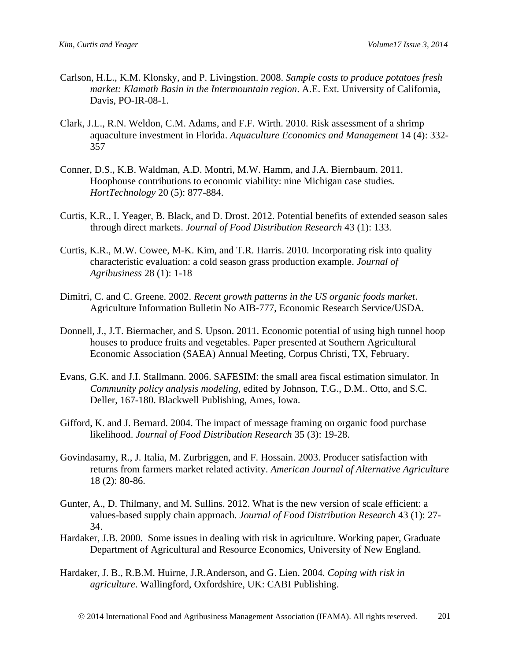- Carlson, H.L., K.M. Klonsky, and P. Livingstion. 2008. *Sample costs to produce potatoes fresh market: Klamath Basin in the Intermountain region*. A.E. Ext. University of California, Davis, PO-IR-08-1.
- Clark, J.L., R.N. Weldon, C.M. Adams, and F.F. Wirth. 2010. Risk assessment of a shrimp aquaculture investment in Florida. *Aquaculture Economics and Management* 14 (4): 332- 357
- Conner, D.S., K.B. Waldman, A.D. Montri, M.W. Hamm, and J.A. Biernbaum. 2011. Hoophouse contributions to economic viability: nine Michigan case studies. *HortTechnology* 20 (5): 877-884.
- Curtis, K.R., I. Yeager, B. Black, and D. Drost. 2012. Potential benefits of extended season sales through direct markets. *Journal of Food Distribution Research* 43 (1): 133.
- Curtis, K.R., M.W. Cowee, M-K. Kim, and T.R. Harris. 2010. Incorporating risk into quality characteristic evaluation: a cold season grass production example. *Journal of Agribusiness* 28 (1): 1-18
- Dimitri, C. and C. Greene. 2002. *Recent growth patterns in the US organic foods market*. Agriculture Information Bulletin No AIB-777, Economic Research Service/USDA.
- Donnell, J., J.T. Biermacher, and S. Upson. 2011. Economic potential of using high tunnel hoop houses to produce fruits and vegetables. Paper presented at Southern Agricultural Economic Association (SAEA) Annual Meeting, Corpus Christi, TX, February.
- Evans, G.K. and J.I. Stallmann. 2006. SAFESIM: the small area fiscal estimation simulator. In *Community policy analysis modeling,* edited by Johnson, T.G., D.M.. Otto, and S.C. Deller, 167-180. Blackwell Publishing, Ames, Iowa.
- Gifford, K. and J. Bernard. 2004. The impact of message framing on organic food purchase likelihood. *Journal of Food Distribution Research* 35 (3): 19-28.
- Govindasamy, R., J. Italia, M. Zurbriggen, and F. Hossain. 2003. Producer satisfaction with returns from farmers market related activity. *American Journal of Alternative Agriculture*  18 (2): 80-86.
- Gunter, A., D. Thilmany, and M. Sullins. 2012. What is the new version of scale efficient: a values-based supply chain approach. *Journal of Food Distribution Research* 43 (1): 27- 34.
- Hardaker, J.B. 2000. Some issues in dealing with risk in agriculture. Working paper, Graduate Department of Agricultural and Resource Economics, University of New England.
- Hardaker, J. B., R.B.M. Huirne, J.R.Anderson, and G. Lien. 2004. *Coping with risk in agriculture*. Wallingford, Oxfordshire, UK: CABI Publishing.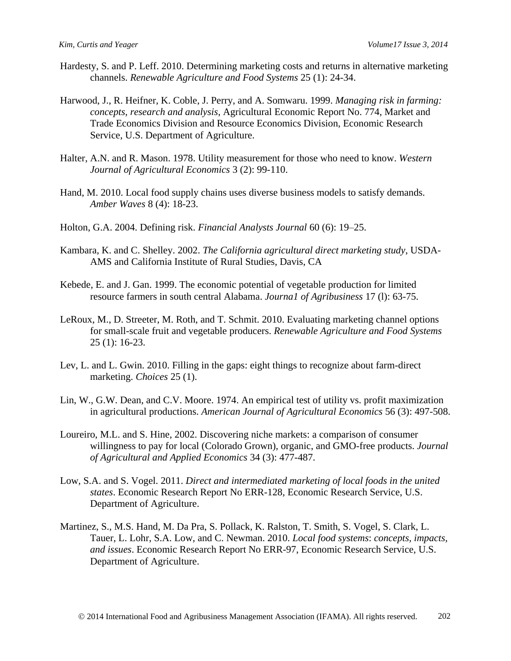- Hardesty, S. and P. Leff. 2010. Determining marketing costs and returns in alternative marketing channels. *Renewable Agriculture and Food Systems* 25 (1): 24-34.
- Harwood, J., R. Heifner, K. Coble, J. Perry, and A. Somwaru. 1999. *Managing risk in farming: concepts, research and analysis*, Agricultural Economic Report No. 774, Market and Trade Economics Division and Resource Economics Division, Economic Research Service, U.S. Department of Agriculture.
- Halter, A.N. and R. Mason. 1978. Utility measurement for those who need to know. *Western Journal of Agricultural Economics* 3 (2): 99-110.
- Hand, M. 2010. Local food supply chains uses diverse business models to satisfy demands. *Amber Waves* 8 (4): 18-23.
- Holton, G.A. 2004. Defining risk. *Financial Analysts Journal* 60 (6): 19–25.
- Kambara, K. and C. Shelley. 2002. *The California agricultural direct marketing study*, USDA-AMS and California Institute of Rural Studies, Davis, CA
- Kebede, E. and J. Gan. 1999. The economic potential of vegetable production for limited resource farmers in south central Alabama. *Journa1 of Agribusiness* 17 (l): 63-75.
- LeRoux, M., D. Streeter, M. Roth, and T. Schmit. 2010. Evaluating marketing channel options for small-scale fruit and vegetable producers. *Renewable Agriculture and Food Systems* 25 (1): 16-23.
- Lev, L. and L. Gwin. 2010. Filling in the gaps: eight things to recognize about farm-direct marketing. *Choices* 25 (1).
- Lin, W., G.W. Dean, and C.V. Moore. 1974. An empirical test of utility vs. profit maximization in agricultural productions. *American Journal of Agricultural Economics* 56 (3): 497-508.
- Loureiro, M.L. and S. Hine, 2002. Discovering niche markets: a comparison of consumer willingness to pay for local (Colorado Grown), organic, and GMO-free products. *Journal of Agricultural and Applied Economics* 34 (3): 477-487.
- Low, S.A. and S. Vogel. 2011. *Direct and intermediated marketing of local foods in the united states*. Economic Research Report No ERR-128, Economic Research Service, U.S. Department of Agriculture.
- Martinez, S., M.S. Hand, M. Da Pra, S. Pollack, K. Ralston, T. Smith, S. Vogel, S. Clark, L. Tauer, L. Lohr, S.A. Low, and C. Newman. 2010. *Local food systems*: *concepts, impacts, and issues*. Economic Research Report No ERR-97, Economic Research Service, U.S. Department of Agriculture.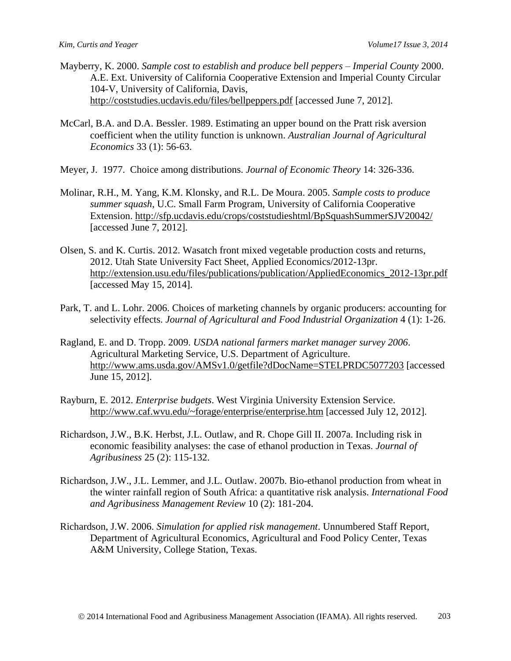- Mayberry, K. 2000. *Sample cost to establish and produce bell peppers Imperial County* 2000. A.E. Ext. University of California Cooperative Extension and Imperial County Circular 104-V, University of California, Davis, <http://coststudies.ucdavis.edu/files/bellpeppers.pdf> [accessed June 7, 2012].
- McCarl, B.A. and D.A. Bessler. 1989. Estimating an upper bound on the Pratt risk aversion coefficient when the utility function is unknown. *Australian Journal of Agricultural Economics* 33 (1): 56-63.
- Meyer, J. 1977. Choice among distributions. *Journal of Economic Theory* 14: 326-336.
- Molinar, R.H., M. Yang, K.M. Klonsky, and R.L. De Moura. 2005. *Sample costs to produce summer squash*, U.C. Small Farm Program, University of California Cooperative Extension.<http://sfp.ucdavis.edu/crops/coststudieshtml/BpSquashSummerSJV20042/> [accessed June 7, 2012].
- Olsen, S. and K. Curtis. 2012. Wasatch front mixed vegetable production costs and returns, 2012. Utah State University Fact Sheet, Applied Economics/2012-13pr. [http://extension.usu.edu/files/publications/publication/AppliedEconomics\\_2012-13pr.pdf](http://extension.usu.edu/files/publications/publication/AppliedEconomics_2012-13pr.pdf) [accessed May 15, 2014].
- Park, T. and L. Lohr. 2006. Choices of marketing channels by organic producers: accounting for selectivity effects. *Journal of Agricultural and Food Industrial Organization* 4 (1): 1-26.
- Ragland, E. and D. Tropp. 2009. *USDA national farmers market manager survey 2006*. Agricultural Marketing Service, U.S. Department of Agriculture. <http://www.ams.usda.gov/AMSv1.0/getfile?dDocName=STELPRDC5077203> [accessed June 15, 2012].
- Rayburn, E. 2012. *Enterprise budgets*. West Virginia University Extension Service. <http://www.caf.wvu.edu/~forage/enterprise/enterprise.htm> [accessed July 12, 2012].
- Richardson, J.W., B.K. Herbst, J.L. Outlaw, and R. Chope Gill II. 2007a. Including risk in economic feasibility analyses: the case of ethanol production in Texas. *Journal of Agribusiness* 25 (2): 115-132.
- Richardson, J.W., J.L. Lemmer, and J.L. Outlaw. 2007b. Bio-ethanol production from wheat in the winter rainfall region of South Africa: a quantitative risk analysis. *International Food and Agribusiness Management Review* 10 (2): 181-204.
- Richardson, J.W. 2006. *Simulation for applied risk management*. Unnumbered Staff Report, Department of Agricultural Economics, Agricultural and Food Policy Center, Texas A&M University, College Station, Texas.